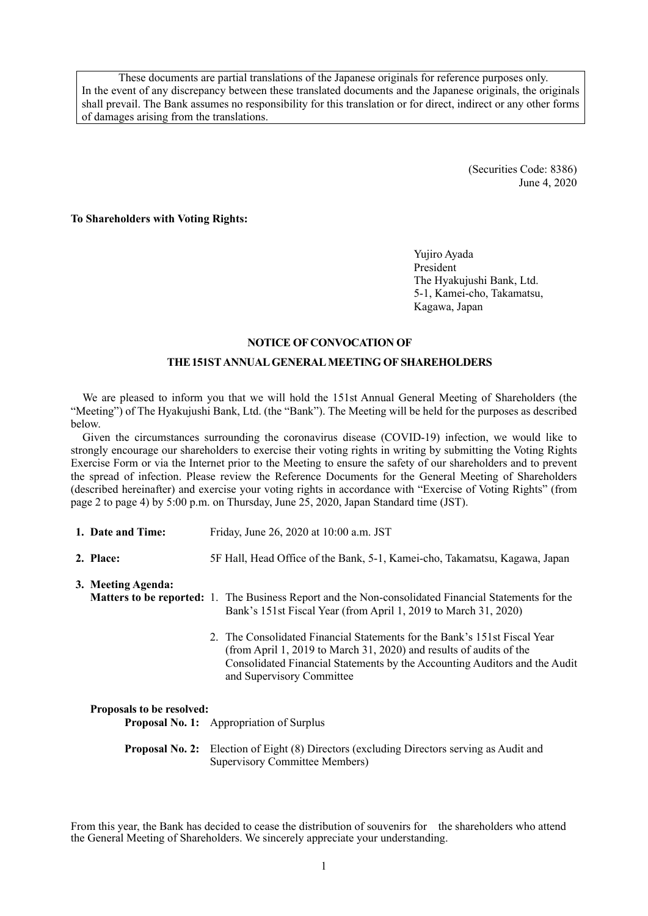These documents are partial translations of the Japanese originals for reference purposes only. In the event of any discrepancy between these translated documents and the Japanese originals, the originals shall prevail. The Bank assumes no responsibility for this translation or for direct, indirect or any other forms of damages arising from the translations.

> (Securities Code: 8386) June 4, 2020

**To Shareholders with Voting Rights:** 

Yujiro Ayada President The Hyakujushi Bank, Ltd. 5-1, Kamei-cho, Takamatsu, Kagawa, Japan

#### **NOTICE OF CONVOCATION OF**

#### **THE151ST ANNUAL GENERAL MEETING OF SHAREHOLDERS**

We are pleased to inform you that we will hold the 151st Annual General Meeting of Shareholders (the "Meeting") of The Hyakujushi Bank, Ltd. (the "Bank"). The Meeting will be held for the purposes as described below.

Given the circumstances surrounding the coronavirus disease (COVID-19) infection, we would like to strongly encourage our shareholders to exercise their voting rights in writing by submitting the Voting Rights Exercise Form or via the Internet prior to the Meeting to ensure the safety of our shareholders and to prevent the spread of infection. Please review the Reference Documents for the General Meeting of Shareholders (described hereinafter) and exercise your voting rights in accordance with "Exercise of Voting Rights" (from page 2 to page 4) by 5:00 p.m. on Thursday, June 25, 2020, Japan Standard time (JST).

- **1. Date and Time:** Friday, June 26, 2020 at 10:00 a.m. JST
- **2. Place:** 5F Hall, Head Office of the Bank, 5-1, Kamei-cho, Takamatsu, Kagawa, Japan

**3. Meeting Agenda:**

- **Matters to be reported:** 1. The Business Report and the Non-consolidated Financial Statements for the Bank's 151st Fiscal Year (from April 1, 2019 to March 31, 2020)
	- 2. The Consolidated Financial Statements for the Bank's 151st Fiscal Year (from April 1, 2019 to March 31, 2020) and results of audits of the Consolidated Financial Statements by the Accounting Auditors and the Audit and Supervisory Committee

#### **Proposals to be resolved:**

| <b>Proposal No. 1:</b> Appropriation of Surplus                                                                                    |
|------------------------------------------------------------------------------------------------------------------------------------|
| <b>Proposal No. 2:</b> Election of Eight (8) Directors (excluding Directors serving as Audit and<br>Supervisory Committee Members) |

From this year, the Bank has decided to cease the distribution of souvenirs for the shareholders who attend the General Meeting of Shareholders. We sincerely appreciate your understanding.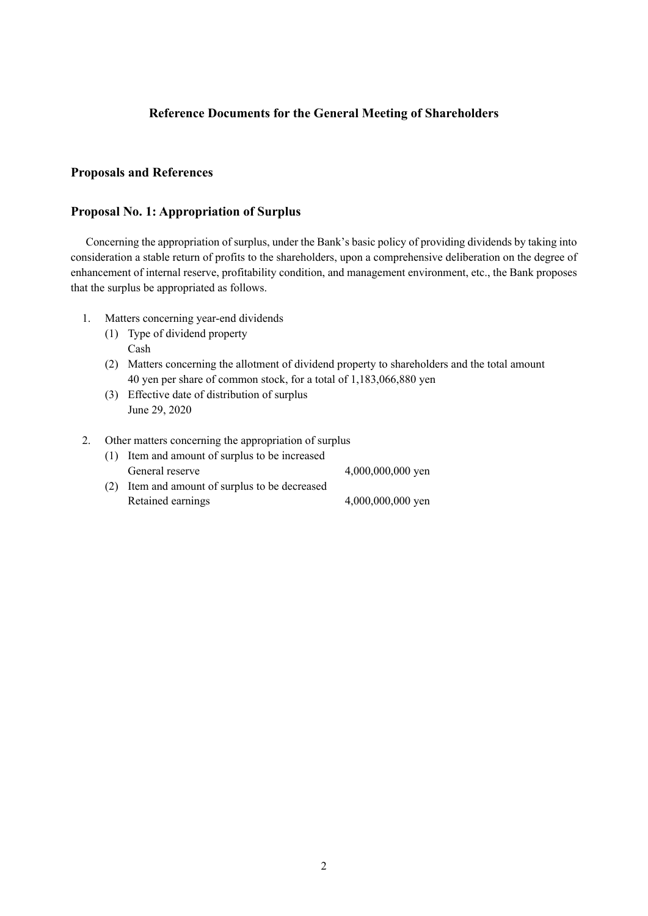## **Reference Documents for the General Meeting of Shareholders**

## **Proposals and References**

### **Proposal No. 1: Appropriation of Surplus**

Concerning the appropriation of surplus, under the Bank's basic policy of providing dividends by taking into consideration a stable return of profits to the shareholders, upon a comprehensive deliberation on the degree of enhancement of internal reserve, profitability condition, and management environment, etc., the Bank proposes that the surplus be appropriated as follows.

- 1. Matters concerning year-end dividends
	- (1) Type of dividend property Cash
	- (2) Matters concerning the allotment of dividend property to shareholders and the total amount 40 yen per share of common stock, for a total of 1,183,066,880 yen
	- (3) Effective date of distribution of surplus June 29, 2020

#### 2. Other matters concerning the appropriation of surplus

| (1) Item and amount of surplus to be increased |                     |
|------------------------------------------------|---------------------|
| General reserve                                | 4,000,000,000 yen   |
| (2) Item and amount of surplus to be decreased |                     |
| Retained earnings                              | $4,000,000,000$ yen |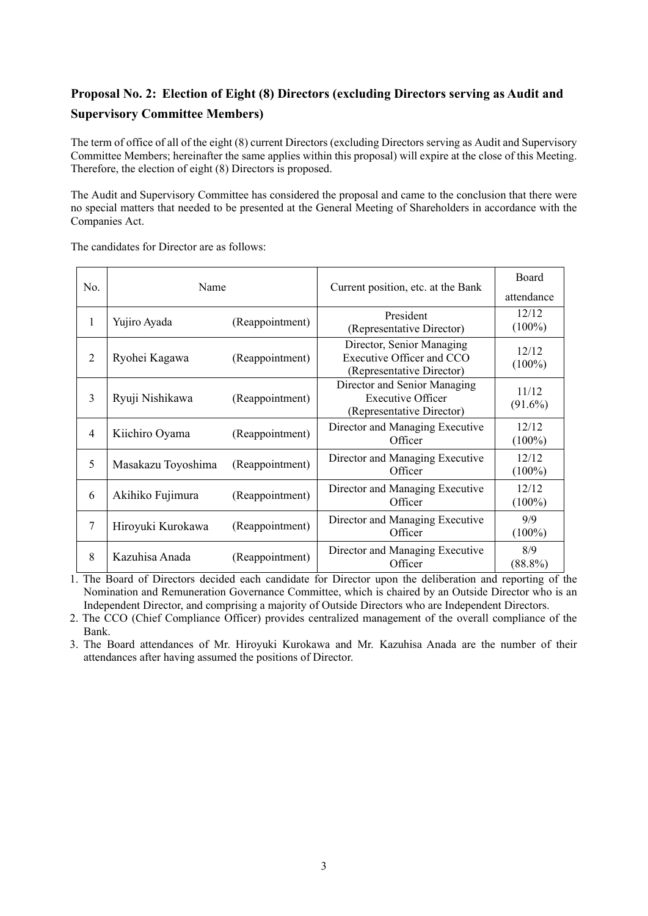# **Proposal No. 2: Election of Eight (8) Directors (excluding Directors serving as Audit and Supervisory Committee Members)**

The term of office of all of the eight (8) current Directors (excluding Directors serving as Audit and Supervisory Committee Members; hereinafter the same applies within this proposal) will expire at the close of this Meeting. Therefore, the election of eight (8) Directors is proposed.

The Audit and Supervisory Committee has considered the proposal and came to the conclusion that there were no special matters that needed to be presented at the General Meeting of Shareholders in accordance with the Companies Act.

The candidates for Director are as follows:

| No.            | Name                                 |                 | Current position, etc. at the Bank                                                    | Board<br>attendance |
|----------------|--------------------------------------|-----------------|---------------------------------------------------------------------------------------|---------------------|
| 1              | Yujiro Ayada                         | (Reappointment) | President<br>(Representative Director)                                                | 12/12<br>$(100\%)$  |
| 2              | Ryohei Kagawa<br>(Reappointment)     |                 | Director, Senior Managing<br>Executive Officer and CCO<br>(Representative Director)   | 12/12<br>$(100\%)$  |
| 3              | Ryuji Nishikawa<br>(Reappointment)   |                 | Director and Senior Managing<br><b>Executive Officer</b><br>(Representative Director) | 11/12<br>$(91.6\%)$ |
| $\overline{4}$ | Kiichiro Oyama                       | (Reappointment) | Director and Managing Executive<br>Officer                                            | 12/12<br>$(100\%)$  |
| 5              | Masakazu Toyoshima                   | (Reappointment) | Director and Managing Executive<br>Officer                                            | 12/12<br>$(100\%)$  |
| 6              | Akihiko Fujimura                     | (Reappointment) | Director and Managing Executive<br>Officer                                            | 12/12<br>$(100\%)$  |
| $\overline{7}$ | Hiroyuki Kurokawa<br>(Reappointment) |                 | Director and Managing Executive<br>Officer                                            | 9/9<br>$(100\%)$    |
| 8              | Kazuhisa Anada                       | (Reappointment) | Director and Managing Executive<br>Officer                                            | 8/9<br>$(88.8\%)$   |

1. The Board of Directors decided each candidate for Director upon the deliberation and reporting of the Nomination and Remuneration Governance Committee, which is chaired by an Outside Director who is an Independent Director, and comprising a majority of Outside Directors who are Independent Directors.

2. The CCO (Chief Compliance Officer) provides centralized management of the overall compliance of the Bank.

3. The Board attendances of Mr. Hiroyuki Kurokawa and Mr. Kazuhisa Anada are the number of their attendances after having assumed the positions of Director.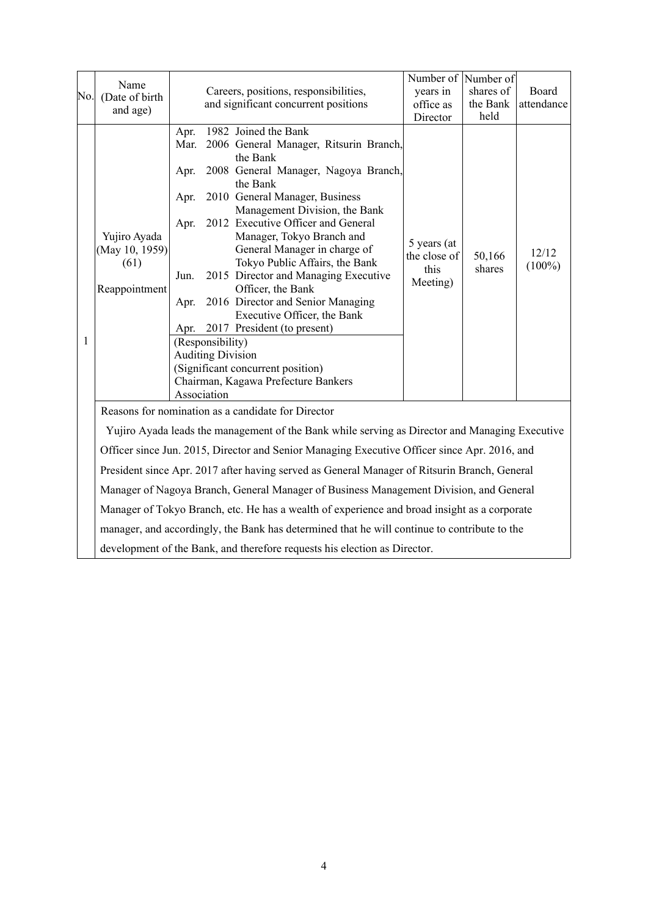| No. | Name<br>(Date of birth<br>and age)                      |                                                      |                                                             | Careers, positions, responsibilities,<br>and significant concurrent positions                                                                                                                                                                                                                                                                                                                                                                                                                                                                                                           | Number of Number of<br>years in<br>office as<br>Director | shares of<br>the Bank<br>held | Board<br>attendance |
|-----|---------------------------------------------------------|------------------------------------------------------|-------------------------------------------------------------|-----------------------------------------------------------------------------------------------------------------------------------------------------------------------------------------------------------------------------------------------------------------------------------------------------------------------------------------------------------------------------------------------------------------------------------------------------------------------------------------------------------------------------------------------------------------------------------------|----------------------------------------------------------|-------------------------------|---------------------|
| 1   | Yujiro Ayada<br>(May 10, 1959)<br>(61)<br>Reappointment | Apr.<br>Mar.<br>Apr.<br>Apr.<br>Apr.<br>Jun.<br>Apr. | (Responsibility)<br><b>Auditing Division</b><br>Association | 1982 Joined the Bank<br>2006 General Manager, Ritsurin Branch,<br>the Bank<br>2008 General Manager, Nagoya Branch,<br>the Bank<br>2010 General Manager, Business<br>Management Division, the Bank<br>2012 Executive Officer and General<br>Manager, Tokyo Branch and<br>General Manager in charge of<br>Tokyo Public Affairs, the Bank<br>2015 Director and Managing Executive<br>Officer, the Bank<br>2016 Director and Senior Managing<br>Executive Officer, the Bank<br>Apr. 2017 President (to present)<br>(Significant concurrent position)<br>Chairman, Kagawa Prefecture Bankers | 5 years (at<br>the close of<br>this<br>Meeting)          | 50,166<br>shares              | 12/12<br>$(100\%)$  |
|     |                                                         |                                                      |                                                             | Reasons for nomination as a candidate for Director                                                                                                                                                                                                                                                                                                                                                                                                                                                                                                                                      |                                                          |                               |                     |
|     |                                                         |                                                      |                                                             | Yujiro Ayada leads the management of the Bank while serving as Director and Managing Executive                                                                                                                                                                                                                                                                                                                                                                                                                                                                                          |                                                          |                               |                     |
|     |                                                         |                                                      |                                                             | Officer since Jun. 2015, Director and Senior Managing Executive Officer since Apr. 2016, and                                                                                                                                                                                                                                                                                                                                                                                                                                                                                            |                                                          |                               |                     |
|     |                                                         |                                                      |                                                             | President since Apr. 2017 after having served as General Manager of Ritsurin Branch, General                                                                                                                                                                                                                                                                                                                                                                                                                                                                                            |                                                          |                               |                     |
|     |                                                         |                                                      |                                                             | Manager of Nagoya Branch, General Manager of Business Management Division, and General                                                                                                                                                                                                                                                                                                                                                                                                                                                                                                  |                                                          |                               |                     |
|     |                                                         |                                                      |                                                             | Manager of Tokyo Branch, etc. He has a wealth of experience and broad insight as a corporate                                                                                                                                                                                                                                                                                                                                                                                                                                                                                            |                                                          |                               |                     |
|     |                                                         |                                                      |                                                             | manager, and accordingly, the Bank has determined that he will continue to contribute to the                                                                                                                                                                                                                                                                                                                                                                                                                                                                                            |                                                          |                               |                     |
|     |                                                         |                                                      |                                                             | development of the Bank, and therefore requests his election as Director.                                                                                                                                                                                                                                                                                                                                                                                                                                                                                                               |                                                          |                               |                     |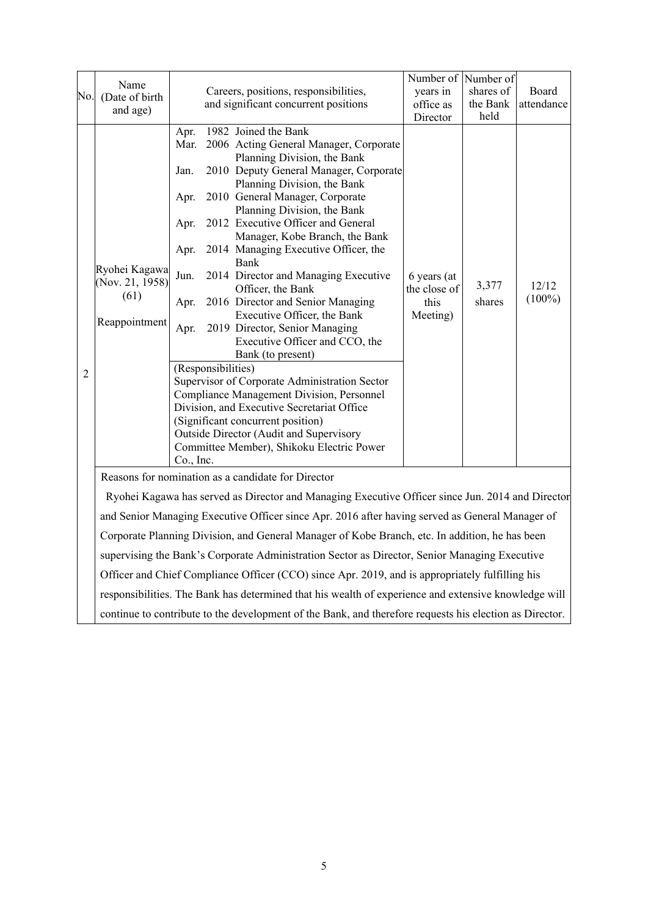|                | Name<br>No. (Date of birth<br>and age)                                                                                                                 |                                                                                   |                    | Careers, positions, responsibilities,<br>and significant concurrent positions                                                                                                                                                                                                                                                                                                                                                                                                                                                                                                                                                                                                                                                                                                                                                                                       | Number of Number of<br>years in<br>office as                | shares of<br>the Bank<br>held | Board<br>attendance |
|----------------|--------------------------------------------------------------------------------------------------------------------------------------------------------|-----------------------------------------------------------------------------------|--------------------|---------------------------------------------------------------------------------------------------------------------------------------------------------------------------------------------------------------------------------------------------------------------------------------------------------------------------------------------------------------------------------------------------------------------------------------------------------------------------------------------------------------------------------------------------------------------------------------------------------------------------------------------------------------------------------------------------------------------------------------------------------------------------------------------------------------------------------------------------------------------|-------------------------------------------------------------|-------------------------------|---------------------|
| $\overline{2}$ | Ryohei Kagawa<br>(Nov. 21, 1958)<br>(61)<br>Reappointment                                                                                              | Apr.<br>Mar.<br>Jan.<br>Apr.<br>Apr.<br>Apr.<br>Jun.<br>Apr.<br>Apr.<br>Co., Inc. | (Responsibilities) | 1982 Joined the Bank<br>2006 Acting General Manager, Corporate<br>Planning Division, the Bank<br>2010 Deputy General Manager, Corporate<br>Planning Division, the Bank<br>2010 General Manager, Corporate<br>Planning Division, the Bank<br>2012 Executive Officer and General<br>Manager, Kobe Branch, the Bank<br>2014 Managing Executive Officer, the<br>Bank<br>2014 Director and Managing Executive<br>Officer, the Bank<br>2016 Director and Senior Managing<br>Executive Officer, the Bank<br>2019 Director, Senior Managing<br>Executive Officer and CCO, the<br>Bank (to present)<br>Supervisor of Corporate Administration Sector<br>Compliance Management Division, Personnel<br>Division, and Executive Secretariat Office<br>(Significant concurrent position)<br>Outside Director (Audit and Supervisory<br>Committee Member), Shikoku Electric Power | Director<br>6 years (at<br>the close of<br>this<br>Meeting) | 3,377<br>shares               | 12/12<br>$(100\%)$  |
|                | Reasons for nomination as a candidate for Director<br>Ryohei Kagawa has served as Director and Managing Executive Officer since Jun. 2014 and Director |                                                                                   |                    |                                                                                                                                                                                                                                                                                                                                                                                                                                                                                                                                                                                                                                                                                                                                                                                                                                                                     |                                                             |                               |                     |
|                |                                                                                                                                                        |                                                                                   |                    | and Senior Managing Executive Officer since Apr. 2016 after having served as General Manager of                                                                                                                                                                                                                                                                                                                                                                                                                                                                                                                                                                                                                                                                                                                                                                     |                                                             |                               |                     |
|                | Corporate Planning Division, and General Manager of Kobe Branch, etc. In addition, he has been                                                         |                                                                                   |                    |                                                                                                                                                                                                                                                                                                                                                                                                                                                                                                                                                                                                                                                                                                                                                                                                                                                                     |                                                             |                               |                     |
|                |                                                                                                                                                        |                                                                                   |                    | supervising the Bank's Corporate Administration Sector as Director, Senior Managing Executive                                                                                                                                                                                                                                                                                                                                                                                                                                                                                                                                                                                                                                                                                                                                                                       |                                                             |                               |                     |
|                |                                                                                                                                                        |                                                                                   |                    | Officer and Chief Compliance Officer (CCO) since Apr. 2019, and is appropriately fulfilling his                                                                                                                                                                                                                                                                                                                                                                                                                                                                                                                                                                                                                                                                                                                                                                     |                                                             |                               |                     |
|                |                                                                                                                                                        |                                                                                   |                    | responsibilities. The Bank has determined that his wealth of experience and extensive knowledge will                                                                                                                                                                                                                                                                                                                                                                                                                                                                                                                                                                                                                                                                                                                                                                |                                                             |                               |                     |
|                |                                                                                                                                                        |                                                                                   |                    | continue to contribute to the development of the Bank, and therefore requests his election as Director.                                                                                                                                                                                                                                                                                                                                                                                                                                                                                                                                                                                                                                                                                                                                                             |                                                             |                               |                     |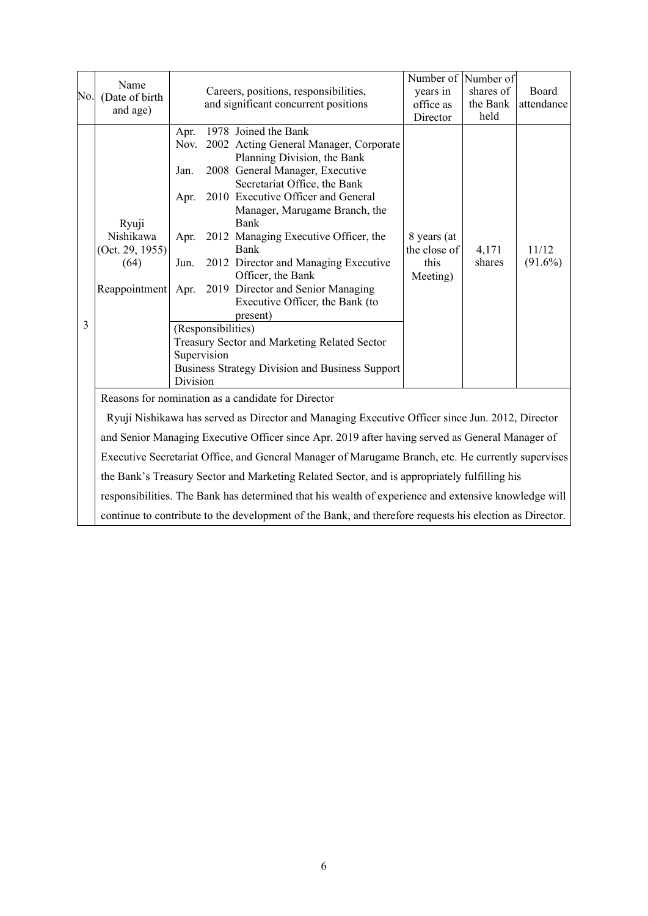| No. | Name<br>(Date of birth<br>and age)                             |                                                          |                                   | Careers, positions, responsibilities,<br>and significant concurrent positions                                                                                                                                                                                                                                                                                                                                                                                                                                                                            | Number of Number of<br>years in<br>office as<br>Director | shares of<br>the Bank<br>held | Board<br>attendance |
|-----|----------------------------------------------------------------|----------------------------------------------------------|-----------------------------------|----------------------------------------------------------------------------------------------------------------------------------------------------------------------------------------------------------------------------------------------------------------------------------------------------------------------------------------------------------------------------------------------------------------------------------------------------------------------------------------------------------------------------------------------------------|----------------------------------------------------------|-------------------------------|---------------------|
| 3   | Ryuji<br>Nishikawa<br>(Oct. 29, 1955)<br>(64)<br>Reappointment | Apr.<br>Jan.<br>Apr.<br>Apr.<br>Jun.<br>Apr.<br>Division | (Responsibilities)<br>Supervision | 1978 Joined the Bank<br>Nov. 2002 Acting General Manager, Corporate<br>Planning Division, the Bank<br>2008 General Manager, Executive<br>Secretariat Office, the Bank<br>2010 Executive Officer and General<br>Manager, Marugame Branch, the<br>Bank<br>2012 Managing Executive Officer, the<br>Bank<br>2012 Director and Managing Executive<br>Officer, the Bank<br>2019 Director and Senior Managing<br>Executive Officer, the Bank (to<br>present)<br>Treasury Sector and Marketing Related Sector<br>Business Strategy Division and Business Support | 8 years (at<br>the close of<br>this<br>Meeting)          | 4,171<br>shares               | 11/12<br>$(91.6\%)$ |
|     |                                                                |                                                          |                                   | Reasons for nomination as a candidate for Director                                                                                                                                                                                                                                                                                                                                                                                                                                                                                                       |                                                          |                               |                     |
|     |                                                                |                                                          |                                   | Ryuji Nishikawa has served as Director and Managing Executive Officer since Jun. 2012, Director                                                                                                                                                                                                                                                                                                                                                                                                                                                          |                                                          |                               |                     |
|     |                                                                |                                                          |                                   | and Senior Managing Executive Officer since Apr. 2019 after having served as General Manager of                                                                                                                                                                                                                                                                                                                                                                                                                                                          |                                                          |                               |                     |
|     |                                                                |                                                          |                                   | Executive Secretariat Office, and General Manager of Marugame Branch, etc. He currently supervises                                                                                                                                                                                                                                                                                                                                                                                                                                                       |                                                          |                               |                     |
|     |                                                                |                                                          |                                   | the Bank's Treasury Sector and Marketing Related Sector, and is appropriately fulfilling his                                                                                                                                                                                                                                                                                                                                                                                                                                                             |                                                          |                               |                     |
|     |                                                                |                                                          |                                   | responsibilities. The Bank has determined that his wealth of experience and extensive knowledge will                                                                                                                                                                                                                                                                                                                                                                                                                                                     |                                                          |                               |                     |
|     |                                                                |                                                          |                                   | continue to contribute to the development of the Bank, and therefore requests his election as Director.                                                                                                                                                                                                                                                                                                                                                                                                                                                  |                                                          |                               |                     |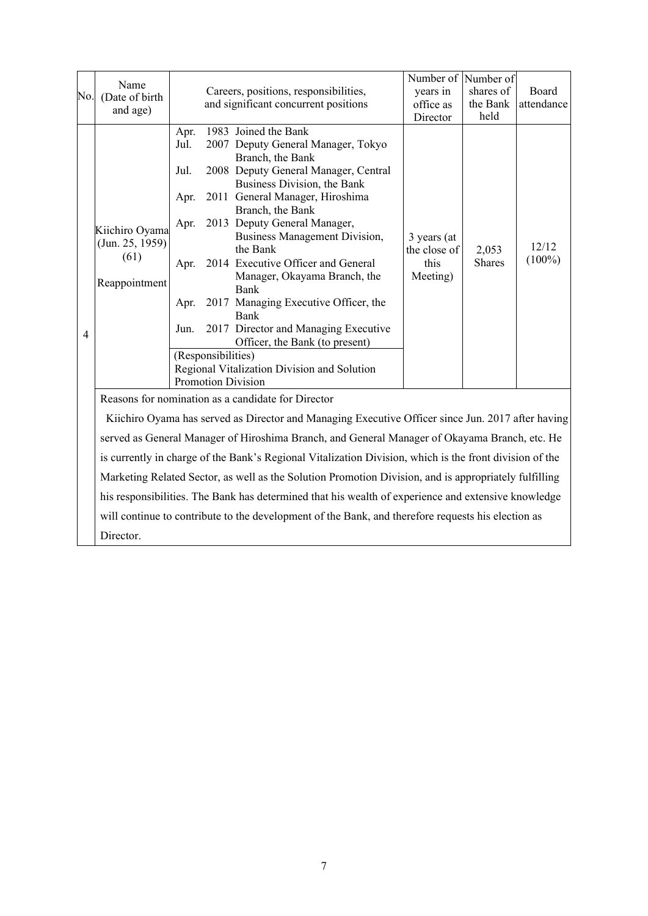| No.            | Name<br>(Date of birth<br>and age)                         |                                                              | Careers, positions, responsibilities,<br>and significant concurrent positions                                                                                                                                                                                                                                                                                                                                                                                                                                                                                                                                                                                                             | Number of Number of<br>years in<br>office as<br>Director | shares of<br>the Bank<br>held | Board<br>attendance |
|----------------|------------------------------------------------------------|--------------------------------------------------------------|-------------------------------------------------------------------------------------------------------------------------------------------------------------------------------------------------------------------------------------------------------------------------------------------------------------------------------------------------------------------------------------------------------------------------------------------------------------------------------------------------------------------------------------------------------------------------------------------------------------------------------------------------------------------------------------------|----------------------------------------------------------|-------------------------------|---------------------|
| $\overline{4}$ | Kiichiro Oyama<br>(Jun. 25, 1959)<br>(61)<br>Reappointment | Apr.<br>Jul.<br>Jul.<br>Apr.<br>Apr.<br>Apr.<br>Apr.<br>Jun. | 1983 Joined the Bank<br>2007 Deputy General Manager, Tokyo<br>Branch, the Bank<br>2008 Deputy General Manager, Central<br>Business Division, the Bank<br>2011 General Manager, Hiroshima<br>Branch, the Bank<br>2013 Deputy General Manager,<br><b>Business Management Division,</b><br>the Bank<br>2014 Executive Officer and General<br>Manager, Okayama Branch, the<br><b>Bank</b><br>2017 Managing Executive Officer, the<br><b>Bank</b><br>2017 Director and Managing Executive<br>Officer, the Bank (to present)<br>(Responsibilities)<br>Regional Vitalization Division and Solution<br><b>Promotion Division</b>                                                                  | 3 years (at<br>the close of<br>this<br>Meeting)          | 2,053<br><b>Shares</b>        | 12/12<br>$(100\%)$  |
|                | Director.                                                  |                                                              | Reasons for nomination as a candidate for Director<br>Kiichiro Oyama has served as Director and Managing Executive Officer since Jun. 2017 after having<br>served as General Manager of Hiroshima Branch, and General Manager of Okayama Branch, etc. He<br>is currently in charge of the Bank's Regional Vitalization Division, which is the front division of the<br>Marketing Related Sector, as well as the Solution Promotion Division, and is appropriately fulfilling<br>his responsibilities. The Bank has determined that his wealth of experience and extensive knowledge<br>will continue to contribute to the development of the Bank, and therefore requests his election as |                                                          |                               |                     |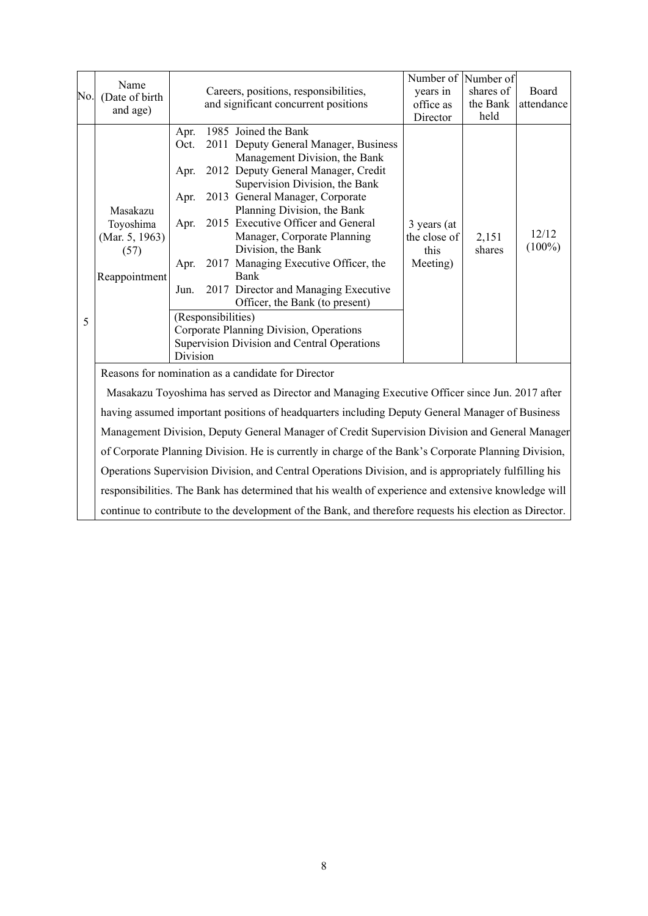| No. | Name<br>(Date of birth<br>and age)                               |                                                                  |                    | Careers, positions, responsibilities,<br>and significant concurrent positions                                                                                                                                                                                                                                                                                                                                                                                                                                                                            | Number of Number of<br>years in<br>office as<br>Director | shares of<br>the Bank<br>held | Board<br>attendance |
|-----|------------------------------------------------------------------|------------------------------------------------------------------|--------------------|----------------------------------------------------------------------------------------------------------------------------------------------------------------------------------------------------------------------------------------------------------------------------------------------------------------------------------------------------------------------------------------------------------------------------------------------------------------------------------------------------------------------------------------------------------|----------------------------------------------------------|-------------------------------|---------------------|
| 5   | Masakazu<br>Toyoshima<br>(Mar. 5, 1963)<br>(57)<br>Reappointment | Apr.<br>Oct.<br>Apr.<br>Apr.<br>Apr.<br>Apr.<br>Jun.<br>Division | (Responsibilities) | 1985 Joined the Bank<br>2011 Deputy General Manager, Business<br>Management Division, the Bank<br>2012 Deputy General Manager, Credit<br>Supervision Division, the Bank<br>2013 General Manager, Corporate<br>Planning Division, the Bank<br>2015 Executive Officer and General<br>Manager, Corporate Planning<br>Division, the Bank<br>2017 Managing Executive Officer, the<br>Bank<br>2017 Director and Managing Executive<br>Officer, the Bank (to present)<br>Corporate Planning Division, Operations<br>Supervision Division and Central Operations | 3 years (at<br>the close of<br>this<br>Meeting)          | 2,151<br>shares               | 12/12<br>$(100\%)$  |
|     |                                                                  |                                                                  |                    | Reasons for nomination as a candidate for Director                                                                                                                                                                                                                                                                                                                                                                                                                                                                                                       |                                                          |                               |                     |

Masakazu Toyoshima has served as Director and Managing Executive Officer since Jun. 2017 after having assumed important positions of headquarters including Deputy General Manager of Business Management Division, Deputy General Manager of Credit Supervision Division and General Manager of Corporate Planning Division. He is currently in charge of the Bank's Corporate Planning Division, Operations Supervision Division, and Central Operations Division, and is appropriately fulfilling his responsibilities. The Bank has determined that his wealth of experience and extensive knowledge will continue to contribute to the development of the Bank, and therefore requests his election as Director.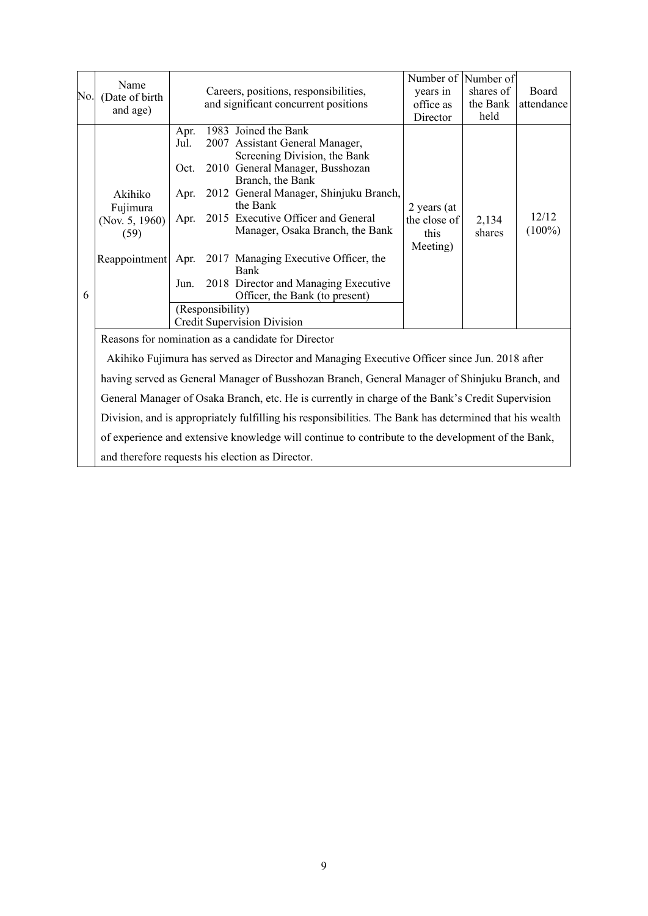| No. | Name<br>(Date of birth<br>and age)                                |                                                      |                  | Careers, positions, responsibilities,<br>and significant concurrent positions                                                                                                                                                                                                                                                                                                                                                                 | Number of Number of<br>years in<br>office as<br>Director | shares of<br>the Bank<br>held | Board<br>attendance |
|-----|-------------------------------------------------------------------|------------------------------------------------------|------------------|-----------------------------------------------------------------------------------------------------------------------------------------------------------------------------------------------------------------------------------------------------------------------------------------------------------------------------------------------------------------------------------------------------------------------------------------------|----------------------------------------------------------|-------------------------------|---------------------|
| 6   | Akihiko<br>Fujimura<br>(Nov. $5, 1960$ )<br>(59)<br>Reappointment | Apr.<br>Jul.<br>Oct.<br>Apr.<br>Apr.<br>Apr.<br>Jun. | (Responsibility) | 1983 Joined the Bank<br>2007 Assistant General Manager,<br>Screening Division, the Bank<br>2010 General Manager, Busshozan<br>Branch, the Bank<br>2012 General Manager, Shinjuku Branch,<br>the Bank<br>2015 Executive Officer and General<br>Manager, Osaka Branch, the Bank<br>2017 Managing Executive Officer, the<br>Bank<br>2018 Director and Managing Executive<br>Officer, the Bank (to present)<br><b>Credit Supervision Division</b> | 2 years (at<br>the close of<br>this<br>Meeting)          | 2,134<br>shares               | 12/12<br>$(100\%)$  |
|     |                                                                   |                                                      |                  | Reasons for nomination as a candidate for Director                                                                                                                                                                                                                                                                                                                                                                                            |                                                          |                               |                     |
|     |                                                                   |                                                      |                  | Akihiko Fujimura has served as Director and Managing Executive Officer since Jun. 2018 after                                                                                                                                                                                                                                                                                                                                                  |                                                          |                               |                     |
|     |                                                                   |                                                      |                  | having served as General Manager of Busshozan Branch, General Manager of Shinjuku Branch, and                                                                                                                                                                                                                                                                                                                                                 |                                                          |                               |                     |
|     |                                                                   |                                                      |                  | General Manager of Osaka Branch, etc. He is currently in charge of the Bank's Credit Supervision                                                                                                                                                                                                                                                                                                                                              |                                                          |                               |                     |
|     |                                                                   |                                                      |                  | Division, and is appropriately fulfilling his responsibilities. The Bank has determined that his wealth                                                                                                                                                                                                                                                                                                                                       |                                                          |                               |                     |
|     |                                                                   |                                                      |                  | of experience and extensive knowledge will continue to contribute to the development of the Bank,                                                                                                                                                                                                                                                                                                                                             |                                                          |                               |                     |
|     |                                                                   |                                                      |                  | and therefore requests his election as Director.                                                                                                                                                                                                                                                                                                                                                                                              |                                                          |                               |                     |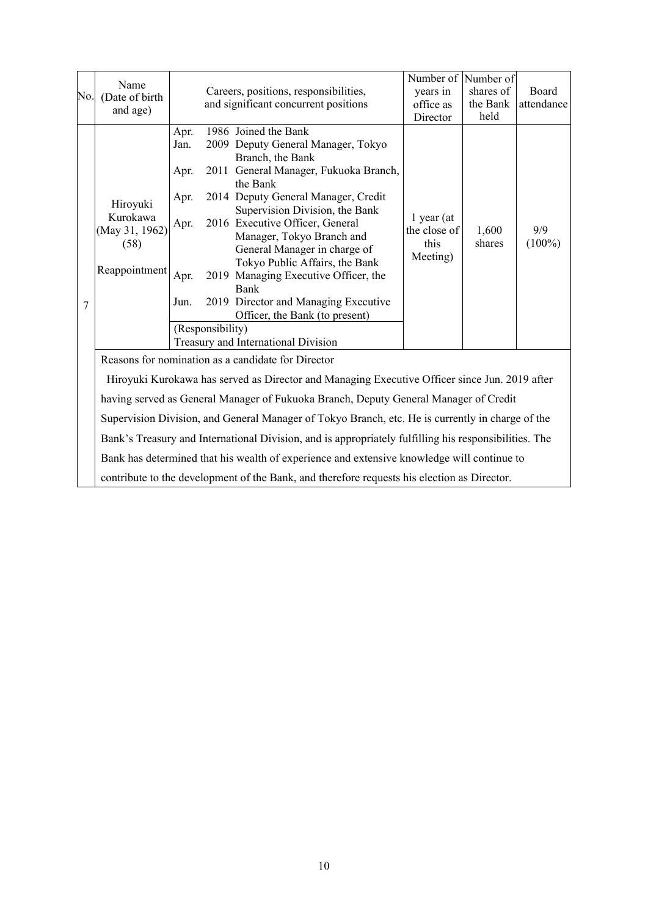| No. | Name<br>(Date of birth<br>and age)                              |                                                      |                  | Careers, positions, responsibilities,<br>and significant concurrent positions                                                                                                                                                                                                                                                                                                                                                                                                                                   | Number of Number of<br>years in<br>office as<br>Director | shares of<br>the Bank<br>held | Board<br>attendance |
|-----|-----------------------------------------------------------------|------------------------------------------------------|------------------|-----------------------------------------------------------------------------------------------------------------------------------------------------------------------------------------------------------------------------------------------------------------------------------------------------------------------------------------------------------------------------------------------------------------------------------------------------------------------------------------------------------------|----------------------------------------------------------|-------------------------------|---------------------|
| 7   | Hiroyuki<br>Kurokawa<br>(May 31, 1962)<br>(58)<br>Reappointment | Apr.<br>Jan.<br>Apr.<br>Apr.<br>Apr.<br>Apr.<br>Jun. | (Responsibility) | 1986 Joined the Bank<br>2009 Deputy General Manager, Tokyo<br>Branch, the Bank<br>2011 General Manager, Fukuoka Branch,<br>the Bank<br>2014 Deputy General Manager, Credit<br>Supervision Division, the Bank<br>2016 Executive Officer, General<br>Manager, Tokyo Branch and<br>General Manager in charge of<br>Tokyo Public Affairs, the Bank<br>2019 Managing Executive Officer, the<br>Bank<br>2019 Director and Managing Executive<br>Officer, the Bank (to present)<br>Treasury and International Division | $1$ year (at<br>the close of<br>this<br>Meeting)         | 1,600<br>shares               | 9/9<br>$(100\%)$    |
|     |                                                                 |                                                      |                  | Reasons for nomination as a candidate for Director                                                                                                                                                                                                                                                                                                                                                                                                                                                              |                                                          |                               |                     |
|     |                                                                 |                                                      |                  | Hiroyuki Kurokawa has served as Director and Managing Executive Officer since Jun. 2019 after                                                                                                                                                                                                                                                                                                                                                                                                                   |                                                          |                               |                     |
|     |                                                                 |                                                      |                  | having served as General Manager of Fukuoka Branch, Deputy General Manager of Credit                                                                                                                                                                                                                                                                                                                                                                                                                            |                                                          |                               |                     |
|     |                                                                 |                                                      |                  | Supervision Division, and General Manager of Tokyo Branch, etc. He is currently in charge of the                                                                                                                                                                                                                                                                                                                                                                                                                |                                                          |                               |                     |
|     |                                                                 |                                                      |                  | Bank's Treasury and International Division, and is appropriately fulfilling his responsibilities. The                                                                                                                                                                                                                                                                                                                                                                                                           |                                                          |                               |                     |
|     |                                                                 |                                                      |                  | Bank has determined that his wealth of experience and extensive knowledge will continue to                                                                                                                                                                                                                                                                                                                                                                                                                      |                                                          |                               |                     |
|     |                                                                 |                                                      |                  | contribute to the development of the Bank, and therefore requests his election as Director.                                                                                                                                                                                                                                                                                                                                                                                                                     |                                                          |                               |                     |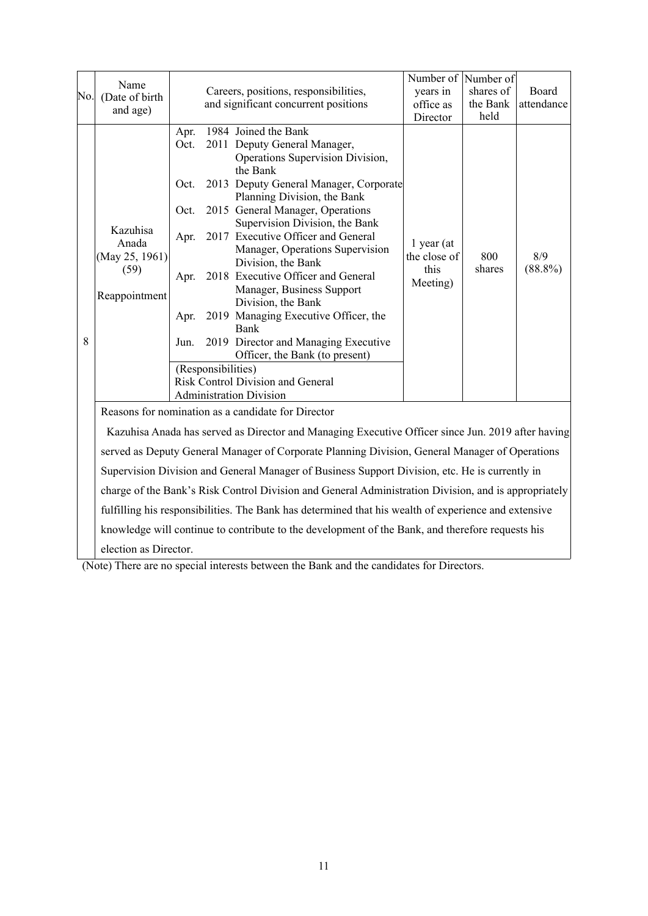|     | Name                  |      |                    |                                                                                                      | Number of                      | Number of |            |  |  |
|-----|-----------------------|------|--------------------|------------------------------------------------------------------------------------------------------|--------------------------------|-----------|------------|--|--|
| No. | (Date of birth        |      |                    | Careers, positions, responsibilities,                                                                | years in                       | shares of | Board      |  |  |
|     | and age)              |      |                    | and significant concurrent positions                                                                 | office as                      | the Bank  | attendance |  |  |
|     |                       |      |                    |                                                                                                      | Director                       | held      |            |  |  |
|     |                       | Apr. |                    | 1984 Joined the Bank                                                                                 |                                |           |            |  |  |
|     |                       | Oct. |                    | 2011 Deputy General Manager,                                                                         |                                |           |            |  |  |
|     |                       |      |                    | Operations Supervision Division,                                                                     |                                |           |            |  |  |
|     |                       |      |                    | the Bank                                                                                             |                                |           |            |  |  |
|     |                       | Oct. |                    | 2013 Deputy General Manager, Corporate                                                               |                                |           |            |  |  |
|     |                       | Oct. |                    | Planning Division, the Bank<br>2015 General Manager, Operations                                      |                                |           |            |  |  |
|     |                       |      |                    | Supervision Division, the Bank                                                                       |                                |           |            |  |  |
|     | Kazuhisa              | Apr. |                    | 2017 Executive Officer and General                                                                   |                                |           |            |  |  |
|     | Anada                 |      |                    | Manager, Operations Supervision                                                                      | 1 year (at                     |           |            |  |  |
|     | (May 25, 1961)        |      |                    | Division, the Bank                                                                                   | the close of                   | 800       | 8/9        |  |  |
|     | (59)                  | Apr. |                    | 2018 Executive Officer and General                                                                   | this                           | shares    | $(88.8\%)$ |  |  |
|     | Reappointment         |      |                    | Manager, Business Support                                                                            | Meeting)                       |           |            |  |  |
|     |                       |      |                    | Division, the Bank                                                                                   |                                |           |            |  |  |
|     |                       | Apr. |                    | 2019 Managing Executive Officer, the                                                                 |                                |           |            |  |  |
|     |                       |      |                    |                                                                                                      |                                | Bank      |            |  |  |
| 8   |                       | Jun. |                    | 2019 Director and Managing Executive                                                                 |                                |           |            |  |  |
|     |                       |      |                    |                                                                                                      | Officer, the Bank (to present) |           |            |  |  |
|     |                       |      | (Responsibilities) |                                                                                                      |                                |           |            |  |  |
|     |                       |      |                    | Risk Control Division and General                                                                    |                                |           |            |  |  |
|     |                       |      |                    | <b>Administration Division</b>                                                                       |                                |           |            |  |  |
|     |                       |      |                    | Reasons for nomination as a candidate for Director                                                   |                                |           |            |  |  |
|     |                       |      |                    | Kazuhisa Anada has served as Director and Managing Executive Officer since Jun. 2019 after having    |                                |           |            |  |  |
|     |                       |      |                    | served as Deputy General Manager of Corporate Planning Division, General Manager of Operations       |                                |           |            |  |  |
|     |                       |      |                    | Supervision Division and General Manager of Business Support Division, etc. He is currently in       |                                |           |            |  |  |
|     |                       |      |                    | charge of the Bank's Risk Control Division and General Administration Division, and is appropriately |                                |           |            |  |  |
|     |                       |      |                    | fulfilling his responsibilities. The Bank has determined that his wealth of experience and extensive |                                |           |            |  |  |
|     |                       |      |                    | knowledge will continue to contribute to the development of the Bank, and therefore requests his     |                                |           |            |  |  |
|     | election as Director. |      |                    |                                                                                                      |                                |           |            |  |  |

(Note) There are no special interests between the Bank and the candidates for Directors.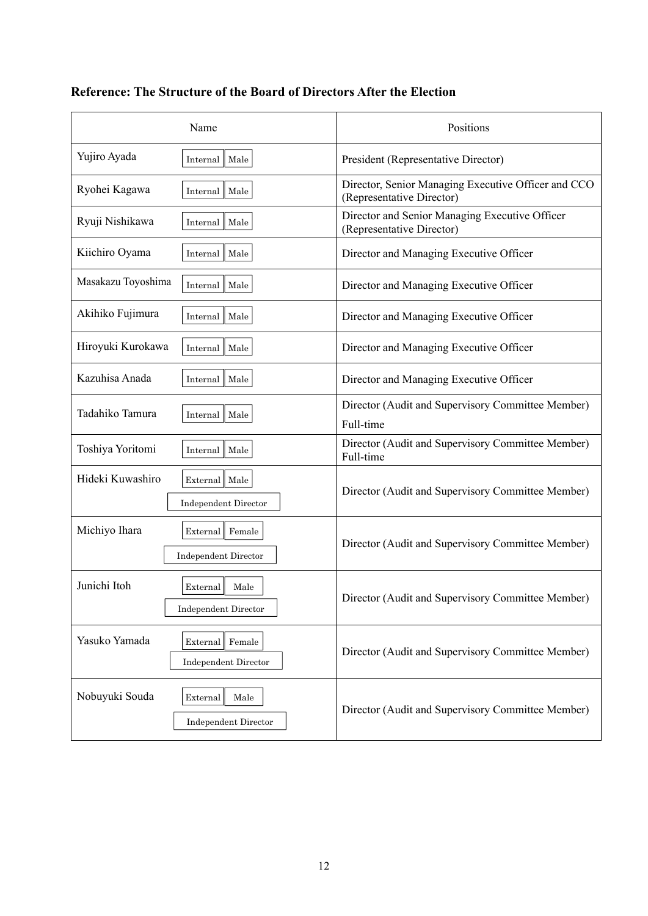| Name                                                               | Positions                                                                        |
|--------------------------------------------------------------------|----------------------------------------------------------------------------------|
| Yujiro Ayada<br>Male<br>Internal                                   | President (Representative Director)                                              |
| Ryohei Kagawa<br>Male<br>Internal                                  | Director, Senior Managing Executive Officer and CCO<br>(Representative Director) |
| Ryuji Nishikawa<br>Male<br>Internal                                | Director and Senior Managing Executive Officer<br>(Representative Director)      |
| Kiichiro Oyama<br>Male<br>Internal                                 | Director and Managing Executive Officer                                          |
| Masakazu Toyoshima<br>Male<br>Internal                             | Director and Managing Executive Officer                                          |
| Akihiko Fujimura<br>Male<br>Internal                               | Director and Managing Executive Officer                                          |
| Hiroyuki Kurokawa<br>Male<br>Internal                              | Director and Managing Executive Officer                                          |
| Kazuhisa Anada<br>Internal   Male                                  | Director and Managing Executive Officer                                          |
| Tadahiko Tamura<br>Male<br>Internal                                | Director (Audit and Supervisory Committee Member)<br>Full-time                   |
| Toshiya Yoritomi<br>Male<br>Internal                               | Director (Audit and Supervisory Committee Member)<br>Full-time                   |
| Hideki Kuwashiro<br>External   Male<br>Independent Director        | Director (Audit and Supervisory Committee Member)                                |
| Michiyo Ihara<br>External Female<br>Independent Director           | Director (Audit and Supervisory Committee Member)                                |
| Junichi Itoh<br>External<br>Male<br><b>Independent Director</b>    | Director (Audit and Supervisory Committee Member)                                |
| Yasuko Yamada<br>Female<br>External<br><b>Independent Director</b> | Director (Audit and Supervisory Committee Member)                                |
| Nobuyuki Souda<br>External<br>Male<br><b>Independent Director</b>  | Director (Audit and Supervisory Committee Member)                                |

## **Reference: The Structure of the Board of Directors After the Election**